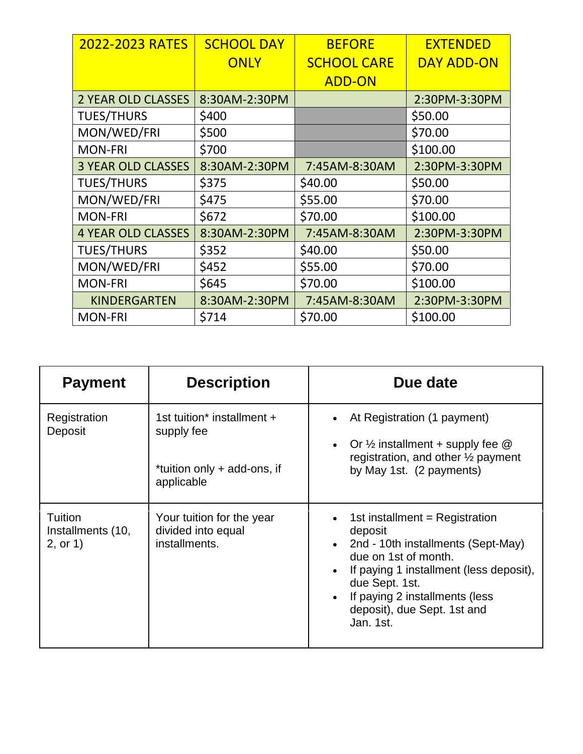| 2022-2023 RATES           | <b>SCHOOL DAY</b> | <b>BEFORE</b>      | <b>EXTENDED</b>   |
|---------------------------|-------------------|--------------------|-------------------|
|                           | <b>ONLY</b>       | <b>SCHOOL CARE</b> | <b>DAY ADD-ON</b> |
|                           |                   | <b>ADD-ON</b>      |                   |
| <b>2 YEAR OLD CLASSES</b> | 8:30AM-2:30PM     |                    | 2:30PM-3:30PM     |
| <b>TUES/THURS</b>         | \$400             |                    | \$50.00           |
| MON/WED/FRI               | \$500             |                    | \$70.00           |
| <b>MON-FRI</b>            | \$700             |                    | \$100.00          |
| <b>3 YEAR OLD CLASSES</b> | 8:30AM-2:30PM     | 7:45AM-8:30AM      | 2:30PM-3:30PM     |
| <b>TUES/THURS</b>         | \$375             | \$40.00            | \$50.00           |
| MON/WED/FRI               | \$475             | \$55.00            | \$70.00           |
| <b>MON-FRI</b>            | \$672             | \$70.00            | \$100.00          |
| <b>4 YEAR OLD CLASSES</b> | 8:30AM-2:30PM     | 7:45AM-8:30AM      | 2:30PM-3:30PM     |
| <b>TUES/THURS</b>         | \$352             | \$40.00            | \$50.00           |
| MON/WED/FRI               | \$452             | \$55.00            | \$70.00           |
| <b>MON-FRI</b>            | \$645             | \$70.00            | \$100.00          |
| <b>KINDERGARTEN</b>       | 8:30AM-2:30PM     | 7:45AM-8:30AM      | 2:30PM-3:30PM     |
| <b>MON-FRI</b>            | \$714             | \$70.00            | \$100.00          |

| <b>Payment</b>                           | <b>Description</b>                                                                    | Due date                                                                                                                                                                                                                                           |
|------------------------------------------|---------------------------------------------------------------------------------------|----------------------------------------------------------------------------------------------------------------------------------------------------------------------------------------------------------------------------------------------------|
| Registration<br>Deposit                  | 1st tuition* installment +<br>supply fee<br>*tuition only + add-ons, if<br>applicable | At Registration (1 payment)<br>Or $\frac{1}{2}$ installment + supply fee $\circledR$<br>registration, and other 1/2 payment<br>by May 1st. (2 payments)                                                                                            |
| Tuition<br>Installments (10,<br>2, or 1) | Your tuition for the year<br>divided into equal<br>installments.                      | 1st installment = Registration<br>deposit<br>2nd - 10th installments (Sept-May)<br>due on 1st of month.<br>If paying 1 installment (less deposit),<br>due Sept. 1st.<br>If paying 2 installments (less<br>deposit), due Sept. 1st and<br>Jan. 1st. |